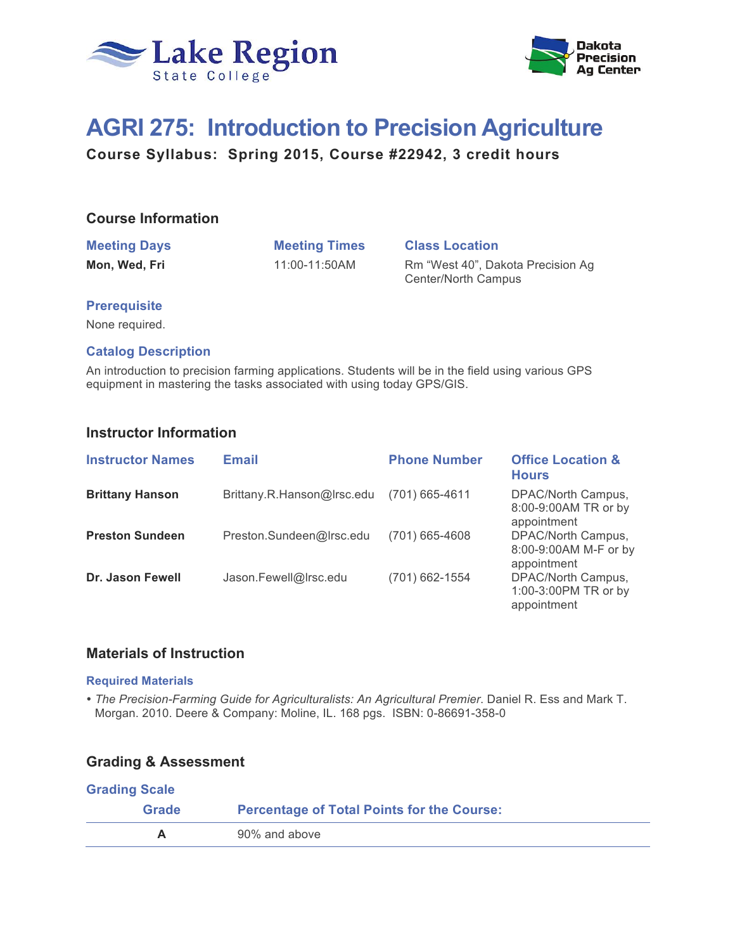



# **AGRI 275: Introduction to Precision Agriculture**

**Course Syllabus: Spring 2015, Course #22942, 3 credit hours**

# **Course Information**

# **Meeting Days Meeting Times Class Location**

**Mon, Wed, Fri** 11:00-11:50AM Rm "West 40", Dakota Precision Ag Center/North Campus

## **Prerequisite**

None required.

## **Catalog Description**

An introduction to precision farming applications. Students will be in the field using various GPS equipment in mastering the tasks associated with using today GPS/GIS.

# **Instructor Information**

| <b>Instructor Names</b> | <b>Email</b>               | <b>Phone Number</b> | <b>Office Location &amp;</b><br><b>Hours</b>               |
|-------------------------|----------------------------|---------------------|------------------------------------------------------------|
| <b>Brittany Hanson</b>  | Brittany.R.Hanson@Irsc.edu | $(701)$ 665-4611    | DPAC/North Campus,<br>8:00-9:00AM TR or by<br>appointment  |
| <b>Preston Sundeen</b>  | Preston.Sundeen@Irsc.edu   | (701) 665-4608      | DPAC/North Campus,<br>8:00-9:00AM M-F or by<br>appointment |
| Dr. Jason Fewell        | Jason.Fewell@Irsc.edu      | (701) 662-1554      | DPAC/North Campus,<br>1:00-3:00PM TR or by<br>appointment  |

# **Materials of Instruction**

#### **Required Materials**

 *The Precision-Farming Guide for Agriculturalists: An Agricultural Premier*. Daniel R. Ess and Mark T. Morgan. 2010. Deere & Company: Moline, IL. 168 pgs. ISBN: 0-86691-358-0

# **Grading & Assessment**

| <b>Grading Scale</b>                                       |               |  |
|------------------------------------------------------------|---------------|--|
| <b>Percentage of Total Points for the Course:</b><br>Grade |               |  |
|                                                            | 90% and above |  |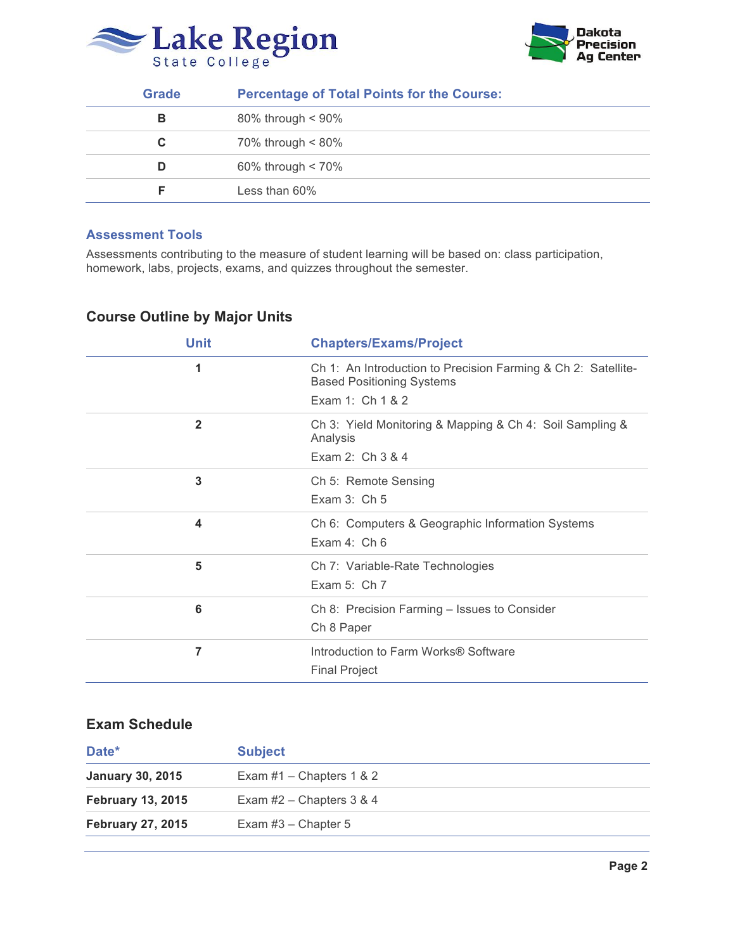



| Grade | <b>Percentage of Total Points for the Course:</b> |  |
|-------|---------------------------------------------------|--|
| в     | $80\%$ through < 90%                              |  |
| С     | 70% through < 80%                                 |  |
| D     | 60% through $< 70\%$                              |  |
|       | Less than $60\%$                                  |  |

#### **Assessment Tools**

Assessments contributing to the measure of student learning will be based on: class participation, homework, labs, projects, exams, and quizzes throughout the semester.

# **Course Outline by Major Units**

| <b>Unit</b>  | <b>Chapters/Exams/Project</b>                                                                                         |
|--------------|-----------------------------------------------------------------------------------------------------------------------|
| 1            | Ch 1: An Introduction to Precision Farming & Ch 2: Satellite-<br><b>Based Positioning Systems</b><br>Exam 1: Ch 1 & 2 |
|              |                                                                                                                       |
| $\mathbf{2}$ | Ch 3: Yield Monitoring & Mapping & Ch 4: Soil Sampling &<br>Analysis                                                  |
|              | Exam 2: Ch 3 & 4                                                                                                      |
| 3            | Ch 5: Remote Sensing                                                                                                  |
|              | Exam $3:$ Ch $5$                                                                                                      |
| 4            | Ch 6: Computers & Geographic Information Systems                                                                      |
|              | Exam 4: Ch 6                                                                                                          |
| 5            | Ch 7: Variable-Rate Technologies                                                                                      |
|              | Exam 5: $Ch 7$                                                                                                        |
| 6            | Ch 8: Precision Farming - Issues to Consider                                                                          |
|              | Ch 8 Paper                                                                                                            |
| 7            | Introduction to Farm Works® Software                                                                                  |
|              | <b>Final Project</b>                                                                                                  |

# **Exam Schedule**

| Date*                    | <b>Subject</b>             |
|--------------------------|----------------------------|
| <b>January 30, 2015</b>  | Exam $#1$ – Chapters 1 & 2 |
| <b>February 13, 2015</b> | Exam $#2$ – Chapters 3 & 4 |
| <b>February 27, 2015</b> | Exam $#3$ – Chapter 5      |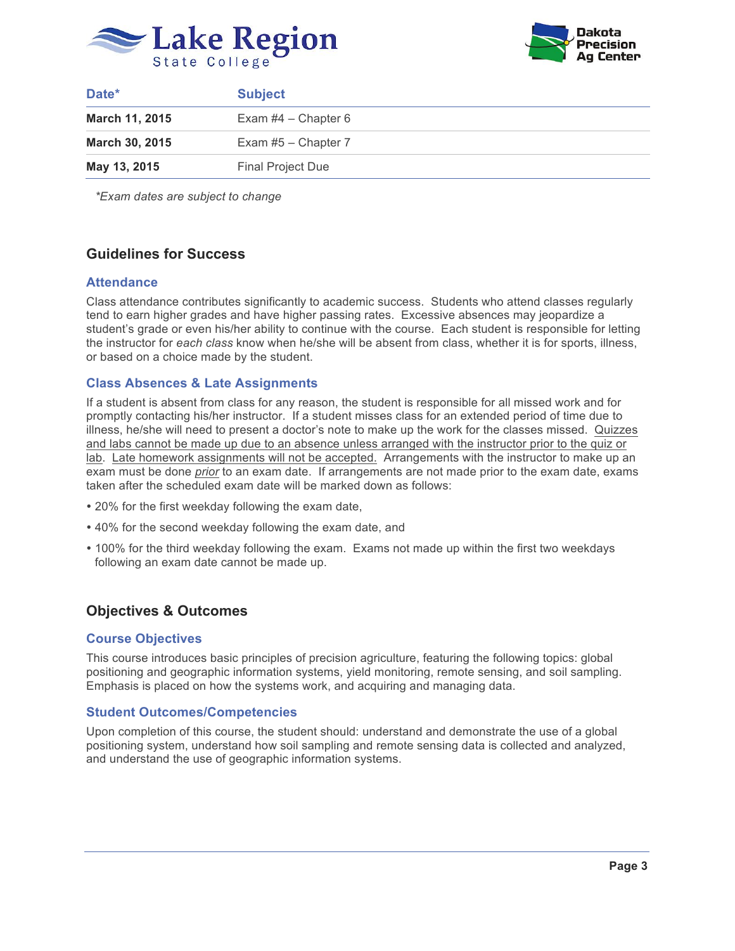



| Date*                 | <b>Subject</b>           |
|-----------------------|--------------------------|
| March 11, 2015        | Exam $#4$ – Chapter 6    |
| <b>March 30, 2015</b> | Exam $#5$ – Chapter 7    |
| May 13, 2015          | <b>Final Project Due</b> |

*\*Exam dates are subject to change*

# **Guidelines for Success**

#### **Attendance**

Class attendance contributes significantly to academic success. Students who attend classes regularly tend to earn higher grades and have higher passing rates. Excessive absences may jeopardize a student's grade or even his/her ability to continue with the course. Each student is responsible for letting the instructor for *each class* know when he/she will be absent from class, whether it is for sports, illness, or based on a choice made by the student.

#### **Class Absences & Late Assignments**

If a student is absent from class for any reason, the student is responsible for all missed work and for promptly contacting his/her instructor. If a student misses class for an extended period of time due to illness, he/she will need to present a doctor's note to make up the work for the classes missed. Quizzes and labs cannot be made up due to an absence unless arranged with the instructor prior to the quiz or lab. Late homework assignments will not be accepted. Arrangements with the instructor to make up an exam must be done *prior* to an exam date. If arrangements are not made prior to the exam date, exams taken after the scheduled exam date will be marked down as follows:

- 20% for the first weekday following the exam date,
- 40% for the second weekday following the exam date, and
- 100% for the third weekday following the exam. Exams not made up within the first two weekdays following an exam date cannot be made up.

# **Objectives & Outcomes**

#### **Course Objectives**

This course introduces basic principles of precision agriculture, featuring the following topics: global positioning and geographic information systems, yield monitoring, remote sensing, and soil sampling. Emphasis is placed on how the systems work, and acquiring and managing data.

#### **Student Outcomes/Competencies**

Upon completion of this course, the student should: understand and demonstrate the use of a global positioning system, understand how soil sampling and remote sensing data is collected and analyzed, and understand the use of geographic information systems.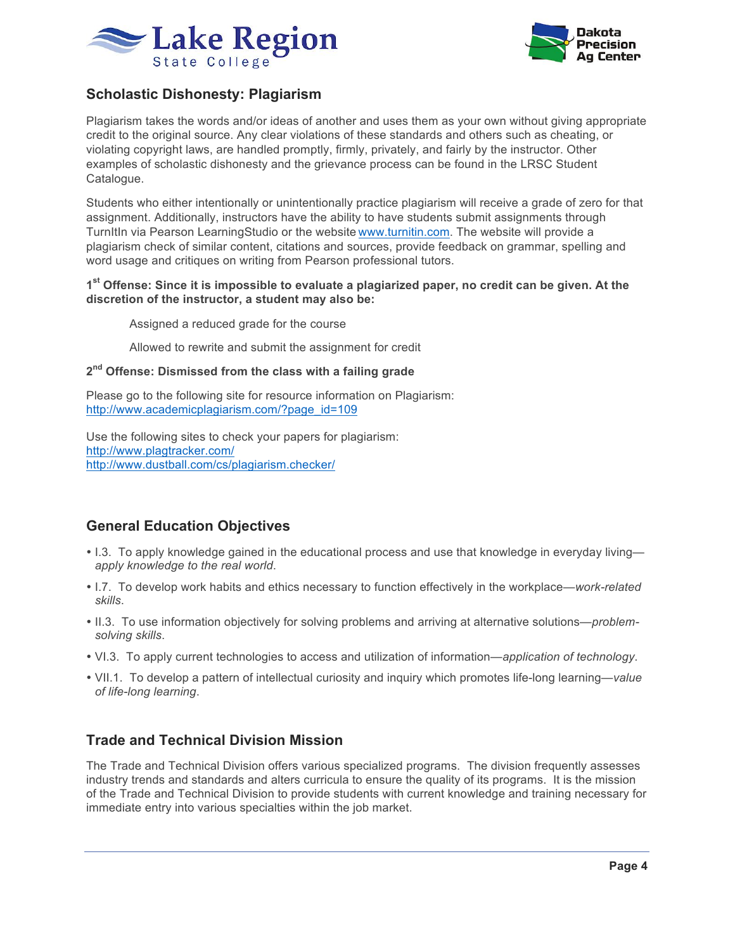



# **Scholastic Dishonesty: Plagiarism**

Plagiarism takes the words and/or ideas of another and uses them as your own without giving appropriate credit to the original source. Any clear violations of these standards and others such as cheating, or violating copyright laws, are handled promptly, firmly, privately, and fairly by the instructor. Other examples of scholastic dishonesty and the grievance process can be found in the LRSC Student Catalogue.

Students who either intentionally or unintentionally practice plagiarism will receive a grade of zero for that assignment. Additionally, instructors have the ability to have students submit assignments through TurnItIn via Pearson LearningStudio or the website www.turnitin.com. The website will provide a plagiarism check of similar content, citations and sources, provide feedback on grammar, spelling and word usage and critiques on writing from Pearson professional tutors.

#### **1st Offense: Since it is impossible to evaluate a plagiarized paper, no credit can be given. At the discretion of the instructor, a student may also be:**

Assigned a reduced grade for the course

Allowed to rewrite and submit the assignment for credit

#### **2nd Offense: Dismissed from the class with a failing grade**

Please go to the following site for resource information on Plagiarism: http://www.academicplagiarism.com/?page\_id=109

Use the following sites to check your papers for plagiarism: http://www.plagtracker.com/ http://www.dustball.com/cs/plagiarism.checker/

# **General Education Objectives**

- I.3. To apply knowledge gained in the educational process and use that knowledge in everyday living *apply knowledge to the real world*.
- I.7. To develop work habits and ethics necessary to function effectively in the workplace—*work-related skills*.
- II.3. To use information objectively for solving problems and arriving at alternative solutions—*problemsolving skills*.
- VI.3. To apply current technologies to access and utilization of information—*application of technology*.
- VII.1. To develop a pattern of intellectual curiosity and inquiry which promotes life-long learning—*value of life-long learning*.

# **Trade and Technical Division Mission**

The Trade and Technical Division offers various specialized programs. The division frequently assesses industry trends and standards and alters curricula to ensure the quality of its programs. It is the mission of the Trade and Technical Division to provide students with current knowledge and training necessary for immediate entry into various specialties within the job market.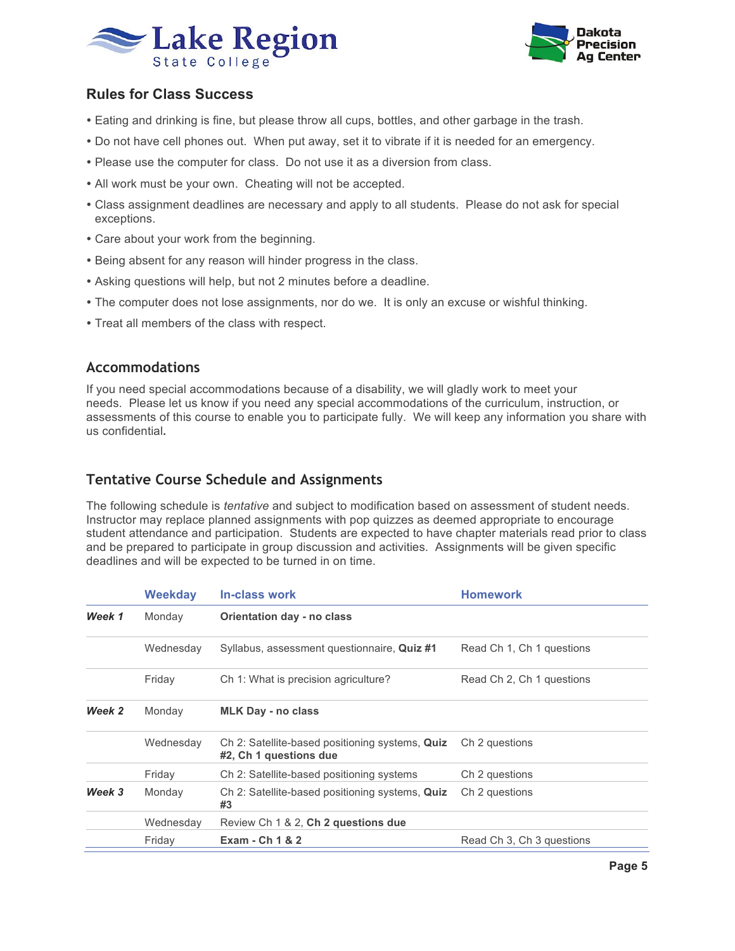



# **Rules for Class Success**

- Eating and drinking is fine, but please throw all cups, bottles, and other garbage in the trash.
- Do not have cell phones out. When put away, set it to vibrate if it is needed for an emergency.
- Please use the computer for class. Do not use it as a diversion from class.
- All work must be your own. Cheating will not be accepted.
- Class assignment deadlines are necessary and apply to all students. Please do not ask for special exceptions.
- Care about your work from the beginning.
- Being absent for any reason will hinder progress in the class.
- Asking questions will help, but not 2 minutes before a deadline.
- The computer does not lose assignments, nor do we. It is only an excuse or wishful thinking.
- Treat all members of the class with respect.

## **Accommodations**

If you need special accommodations because of a disability, we will gladly work to meet your needs. Please let us know if you need any special accommodations of the curriculum, instruction, or assessments of this course to enable you to participate fully. We will keep any information you share with us confidential**.**

# **Tentative Course Schedule and Assignments**

The following schedule is *tentative* and subject to modification based on assessment of student needs. Instructor may replace planned assignments with pop quizzes as deemed appropriate to encourage student attendance and participation. Students are expected to have chapter materials read prior to class and be prepared to participate in group discussion and activities. Assignments will be given specific deadlines and will be expected to be turned in on time.

|        | <b>Weekday</b> | In-class work                                                             | <b>Homework</b>           |
|--------|----------------|---------------------------------------------------------------------------|---------------------------|
| Week 1 | Monday         | Orientation day - no class                                                |                           |
|        | Wednesday      | Syllabus, assessment questionnaire, Quiz #1                               | Read Ch 1, Ch 1 questions |
|        | Friday         | Ch 1: What is precision agriculture?                                      | Read Ch 2, Ch 1 questions |
| Week 2 | Monday         | <b>MLK Day - no class</b>                                                 |                           |
|        | Wednesday      | Ch 2: Satellite-based positioning systems, Quiz<br>#2, Ch 1 questions due | Ch 2 questions            |
|        | Friday         | Ch 2: Satellite-based positioning systems                                 | Ch 2 questions            |
| Week 3 | Monday         | Ch 2: Satellite-based positioning systems, Quiz<br>#3                     | Ch 2 questions            |
|        | Wednesday      | Review Ch 1 & 2, Ch 2 questions due                                       |                           |
|        | Friday         | Exam - Ch 1 & 2                                                           | Read Ch 3, Ch 3 questions |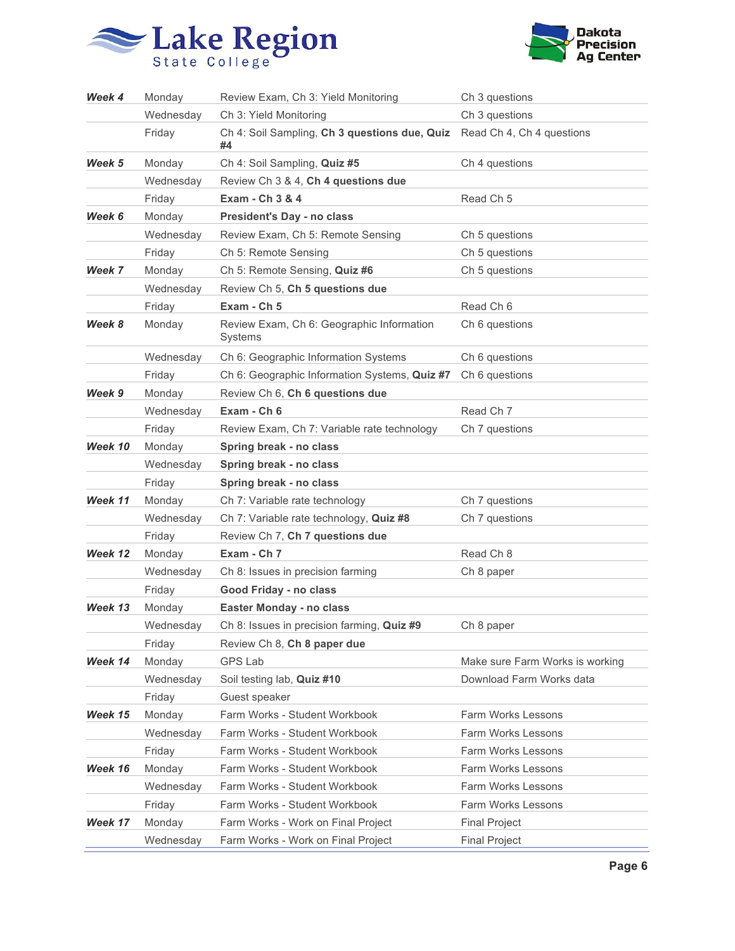



| Week 4  | Monday    | Review Exam, Ch 3: Yield Monitoring                  | Ch 3 questions                  |
|---------|-----------|------------------------------------------------------|---------------------------------|
|         | Wednesday | Ch 3: Yield Monitoring                               | Ch 3 questions                  |
|         | Friday    | Ch 4: Soil Sampling, Ch 3 questions due, Quiz<br>#4  | Read Ch 4, Ch 4 questions       |
| Week 5  | Monday    | Ch 4: Soil Sampling, Quiz #5                         | Ch 4 questions                  |
|         | Wednesday | Review Ch 3 & 4, Ch 4 questions due                  |                                 |
|         | Friday    | Exam - Ch 3 & 4                                      | Read Ch <sub>5</sub>            |
| Week 6  | Monday    | President's Day - no class                           |                                 |
|         | Wednesday | Review Exam, Ch 5: Remote Sensing                    | Ch 5 questions                  |
|         | Friday    | Ch 5: Remote Sensing                                 | Ch 5 questions                  |
| Week 7  | Monday    | Ch 5: Remote Sensing, Quiz #6                        | Ch 5 questions                  |
|         | Wednesday | Review Ch 5, Ch 5 questions due                      |                                 |
|         | Friday    | Exam - Ch 5                                          | Read Ch <sub>6</sub>            |
| Week 8  | Monday    | Review Exam, Ch 6: Geographic Information<br>Systems | Ch 6 questions                  |
|         | Wednesday | Ch 6: Geographic Information Systems                 | Ch 6 questions                  |
|         | Friday    | Ch 6: Geographic Information Systems, Quiz #7        | Ch 6 questions                  |
| Week 9  | Monday    | Review Ch 6, Ch 6 questions due                      |                                 |
|         | Wednesday | Exam - Ch 6                                          | Read Ch 7                       |
|         | Friday    | Review Exam, Ch 7: Variable rate technology          | Ch 7 questions                  |
| Week 10 | Monday    | Spring break - no class                              |                                 |
|         | Wednesday | Spring break - no class                              |                                 |
|         | Friday    | Spring break - no class                              |                                 |
| Week 11 | Monday    | Ch 7: Variable rate technology                       | Ch 7 questions                  |
|         | Wednesday | Ch 7: Variable rate technology, Quiz #8              | Ch 7 questions                  |
|         | Friday    | Review Ch 7, Ch 7 questions due                      |                                 |
| Week 12 | Monday    | Exam - Ch 7                                          | Read Ch <sub>8</sub>            |
|         | Wednesday | Ch 8: Issues in precision farming                    | Ch 8 paper                      |
|         | Friday    | Good Friday - no class                               |                                 |
| Week 13 | Monday    | Easter Monday - no class                             |                                 |
|         | Wednesday | Ch 8: Issues in precision farming, Quiz #9           | Ch 8 paper                      |
|         | Friday    | Review Ch 8, Ch 8 paper due                          |                                 |
| Week 14 | Monday    | GPS Lab                                              | Make sure Farm Works is working |
|         | Wednesday | Soil testing lab, Quiz #10                           | Download Farm Works data        |
|         | Friday    | Guest speaker                                        |                                 |
| Week 15 | Monday    | Farm Works - Student Workbook                        | Farm Works Lessons              |
|         | Wednesday | Farm Works - Student Workbook                        | Farm Works Lessons              |
|         | Friday    | Farm Works - Student Workbook                        | Farm Works Lessons              |
| Week 16 | Monday    | Farm Works - Student Workbook                        | Farm Works Lessons              |
|         | Wednesday | Farm Works - Student Workbook                        | Farm Works Lessons              |
|         | Friday    | Farm Works - Student Workbook                        | Farm Works Lessons              |
| Week 17 | Monday    | Farm Works - Work on Final Project                   | <b>Final Project</b>            |
|         | Wednesday | Farm Works - Work on Final Project                   | <b>Final Project</b>            |